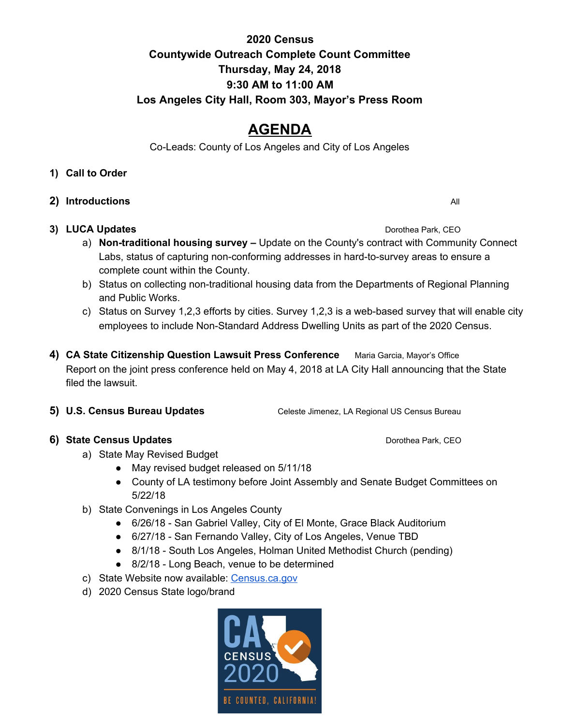## **2020 Census Countywide Outreach Complete Count Committee Thursday, May 24, 2018 9:30 AM to 11:00 AM Los Angeles City Hall, Room 303, Mayor's Press Room**

# **AGENDA**

Co-Leads: County of Los Angeles and City of Los Angeles

### **1) Call to Order**

**2) Introductions** All

## **3) LUCA Updates Download Control of the UPS And Control of the Dorothea Park, CEO**

- a) **Non-traditional housing survey –** Update on the County's contract with Community Connect Labs, status of capturing non-conforming addresses in hard-to-survey areas to ensure a complete count within the County.
- b) Status on collecting non-traditional housing data from the Departments of Regional Planning and Public Works.
- c) Status on Survey 1,2,3 efforts by cities. Survey 1,2,3 is a web-based survey that will enable city employees to include Non-Standard Address Dwelling Units as part of the 2020 Census.
- **4) CA State Citizenship Question Lawsuit Press Conference** Maria Garcia, Mayor's Office Report on the joint press conference held on May 4, 2018 at LA City Hall announcing that the State filed the lawsuit.
- **5) U.S. Census Bureau Updates** Celeste Jimenez, LA Regional US Census Bureau

## **6)** State Census Updates **<b>6 CEO CEO** *CEO CEO CEO*

- a) State May Revised Budget
	- May revised budget released on 5/11/18
	- County of LA testimony before Joint Assembly and Senate Budget Committees on 5/22/18
- b) State Convenings in Los Angeles County
	- 6/26/18 San Gabriel Valley, City of El Monte, Grace Black Auditorium
	- 6/27/18 San Fernando Valley, City of Los Angeles, Venue TBD
	- 8/1/18 South Los Angeles, Holman United Methodist Church (pending)
	- 8/2/18 Long Beach, venue to be determined
- c) State Website now available: [Census.ca.gov](http://census.ca.gov/)
- d) 2020 Census State logo/brand